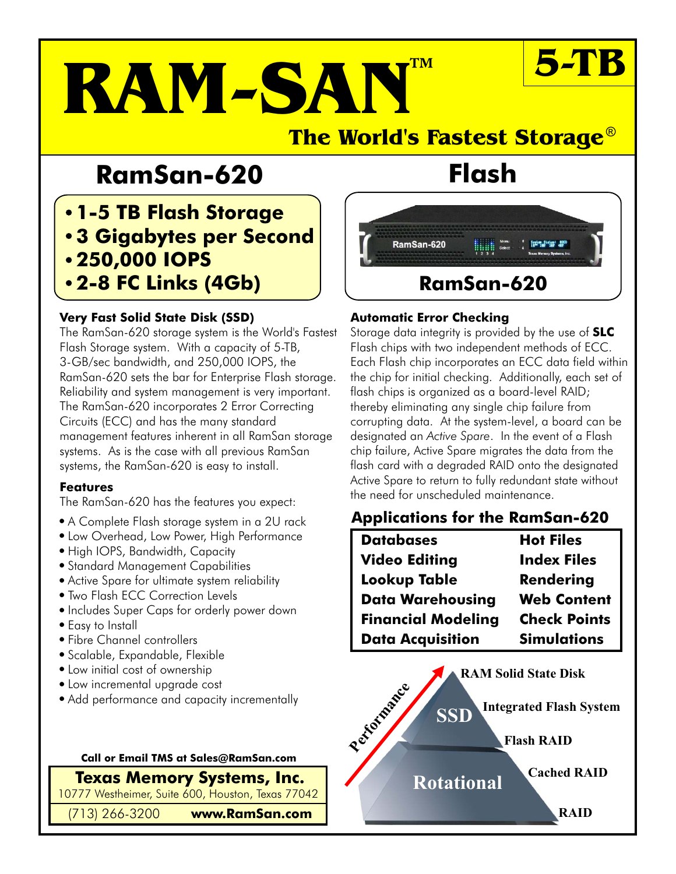# **RAM-SAN**

#### **The World's Fastest Storage** ®

### **RamSan-620 Flash**

#### **1-5 TB Flash Storage 3 Gigabytes per Second 250,000 IOPS 2-8 FC Links (4Gb)**

#### **Very Fast Solid State Disk (SSD) Automatic Error Checking**

The RamSan-620 storage system is the World's Fastest Flash Storage system. With a capacity of 5-TB, 3-GB/sec bandwidth, and 250,000 IOPS, the RamSan-620 sets the bar for Enterprise Flash storage. Reliability and system management is very important. The RamSan-620 incorporates 2 Error Correcting Circuits (ECC) and has the many standard management features inherent in all RamSan storage systems. As is the case with all previous RamSan systems, the RamSan-620 is easy to install.

#### **Features**

The RamSan-620 has the features you expect:

- 
- **.** Low Overhead, Low Power, High Performance
- High IOPS, Bandwidth, Capacity
- **Standard Management Capabilities**
- Active Spare for ultimate system reliability<br>• Two Flash ECC Correction Levels
- 
- 
- 
- 
- 
- 
- 
- 

#### **Call or Email TMS at Sales@RamSan.com**

**Texas Memory Systems, Inc.**

10777 Westheimer, Suite 600, Houston, Texas 77042

(713) 266-3200 **www.RamSan.com**

## RamSan-620 **RamSan-620**

**™ 5-TB**

Storage data integrity is provided by the use of **SLC** Flash chips with two independent methods of ECC. Each Flash chip incorporates an ECC data field within the chip for initial checking. Additionally, each set of flash chips is organized as a board-level RAID; thereby eliminating any single chip failure from corrupting data. At the system-level, a board can be designated an *Active Spare*. In the event of a Flash Active Spare to return to fully redundant state without the need for unscheduled maintenance. chip failure, Active Spare migrates the data from the flash card with a degraded RAID onto the designated

### • A Complete Flash storage system in a 2U rack **Applications for the RamSan-620**<br>• Low Overhead, Low Power, High Performance

| • Low Overhead, Low Power, High Performance    | <b>Databases</b>          | <b>Hot Files</b>    |
|------------------------------------------------|---------------------------|---------------------|
| • High IOPS, Bandwidth, Capacity               | <b>Video Editing</b>      | <b>Index Files</b>  |
| • Standard Management Capabilities             |                           |                     |
| • Active Spare for ultimate system reliability | <b>Lookup Table</b>       | Rendering           |
| • Two Flash ECC Correction Levels              | <b>Data Warehousing</b>   | <b>Web Content</b>  |
| . Includes Super Caps for orderly power down   |                           |                     |
| • Easy to Install                              | <b>Financial Modeling</b> | <b>Check Points</b> |
| • Fibre Channel controllers                    | <b>Data Acquisition</b>   | <b>Simulations</b>  |
| • Scalable Expandable Flexible                 |                           |                     |